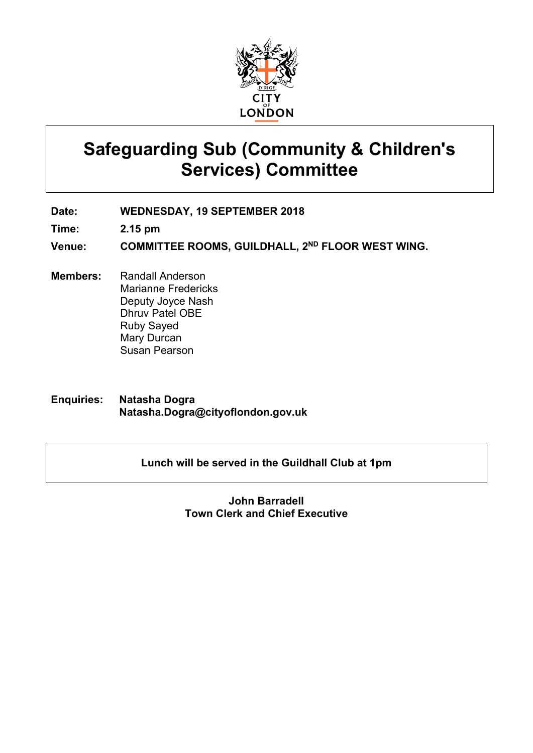

# **Safeguarding Sub (Community & Children's Services) Committee**

**Date: WEDNESDAY, 19 SEPTEMBER 2018**

**Time: 2.15 pm**

**Venue: COMMITTEE ROOMS, GUILDHALL, 2 ND FLOOR WEST WING.**

**Members:** Randall Anderson Marianne Fredericks Deputy Joyce Nash Dhruv Patel OBE Ruby Sayed Mary Durcan Susan Pearson

**Enquiries: Natasha Dogra Natasha.Dogra@cityoflondon.gov.uk**

#### **Lunch will be served in the Guildhall Club at 1pm**

#### **John Barradell Town Clerk and Chief Executive**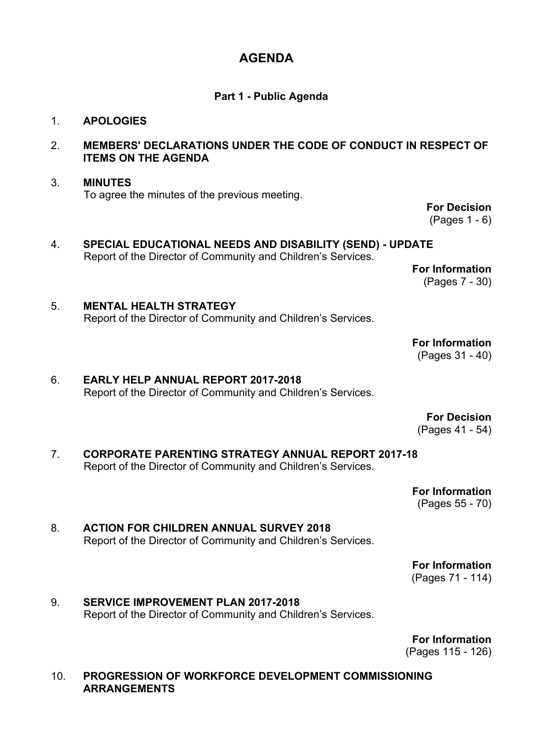## **AGENDA**

#### **Part 1 - Public Agenda**

#### 1. **APOLOGIES**

#### 2. **MEMBERS' DECLARATIONS UNDER THE CODE OF CONDUCT IN RESPECT OF ITEMS ON THE AGENDA**

#### 3. **MINUTES** To agree the minutes of the previous meeting.

**For Decision** (Pages 1 - 6)

4. **SPECIAL EDUCATIONAL NEEDS AND DISABILITY (SEND) - UPDATE** Report of the Director of Community and Children's Services.

**For Information** (Pages 7 - 30)

**For Information** (Pages 31 - 40)

5. **MENTAL HEALTH STRATEGY** Report of the Director of Community and Children's Services.

6. **EARLY HELP ANNUAL REPORT 2017-2018**

Report of the Director of Community and Children's Services.

**For Decision** (Pages 41 - 54)

7. **CORPORATE PARENTING STRATEGY ANNUAL REPORT 2017-18** Report of the Director of Community and Children's Services.

> **For Information** (Pages 55 - 70)

8. **ACTION FOR CHILDREN ANNUAL SURVEY 2018** Report of the Director of Community and Children's Services.

**For Information**

(Pages 71 - 114)

9. **SERVICE IMPROVEMENT PLAN 2017-2018** Report of the Director of Community and Children's Services.

**For Information**

(Pages 115 - 126)

10. **PROGRESSION OF WORKFORCE DEVELOPMENT COMMISSIONING ARRANGEMENTS**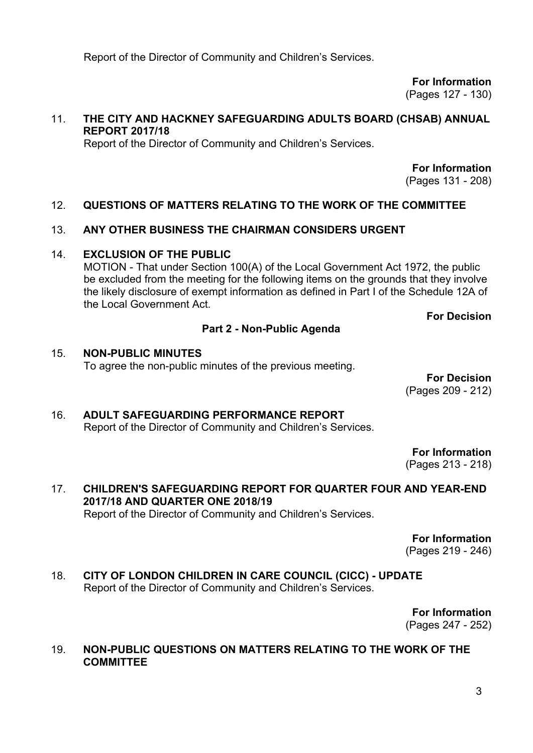Report of the Director of Community and Children's Services.

**For Information** (Pages 127 - 130)

#### 11. **THE CITY AND HACKNEY SAFEGUARDING ADULTS BOARD (CHSAB) ANNUAL REPORT 2017/18**

Report of the Director of Community and Children's Services.

**For Information**

(Pages 131 - 208)

#### 12. **QUESTIONS OF MATTERS RELATING TO THE WORK OF THE COMMITTEE**

#### 13. **ANY OTHER BUSINESS THE CHAIRMAN CONSIDERS URGENT**

#### 14. **EXCLUSION OF THE PUBLIC**

MOTION - That under Section 100(A) of the Local Government Act 1972, the public be excluded from the meeting for the following items on the grounds that they involve the likely disclosure of exempt information as defined in Part I of the Schedule 12A of the Local Government Act.

### **For Decision**

# **Part 2 - Non-Public Agenda**

#### 15. **NON-PUBLIC MINUTES** To agree the non-public minutes of the previous meeting.

**For Decision** (Pages 209 - 212)

### 16. **ADULT SAFEGUARDING PERFORMANCE REPORT** Report of the Director of Community and Children's Services.

**For Information** (Pages 213 - 218)

# 17. **CHILDREN'S SAFEGUARDING REPORT FOR QUARTER FOUR AND YEAR-END 2017/18 AND QUARTER ONE 2018/19**

Report of the Director of Community and Children's Services.

**For Information**

(Pages 219 - 246)

18. **CITY OF LONDON CHILDREN IN CARE COUNCIL (CICC) - UPDATE** Report of the Director of Community and Children's Services.

> **For Information** (Pages 247 - 252)

#### 19. **NON-PUBLIC QUESTIONS ON MATTERS RELATING TO THE WORK OF THE COMMITTEE**